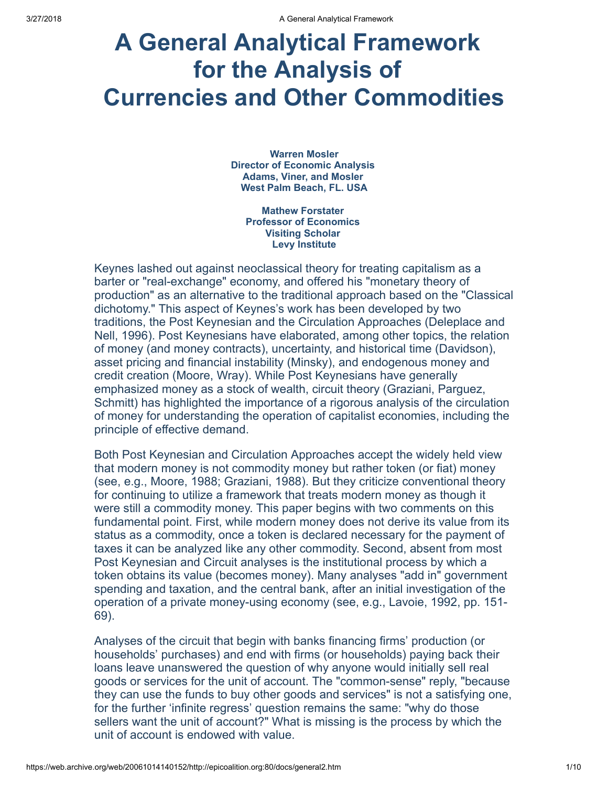# A General Analytical Framework for the Analysis of Currencies and Other Commodities

Warren Mosler Director of Economic Analysis Adams, Viner, and Mosler West Palm Beach, FL. USA

Mathew Forstater Professor of Economics Visiting Scholar Levy Institute

Keynes lashed out against neoclassical theory for treating capitalism as a barter or "real-exchange" economy, and offered his "monetary theory of production" as an alternative to the traditional approach based on the "Classical dichotomy." This aspect of Keynes's work has been developed by two traditions, the Post Keynesian and the Circulation Approaches (Deleplace and Nell, 1996). Post Keynesians have elaborated, among other topics, the relation of money (and money contracts), uncertainty, and historical time (Davidson), asset pricing and financial instability (Minsky), and endogenous money and credit creation (Moore, Wray). While Post Keynesians have generally emphasized money as a stock of wealth, circuit theory (Graziani, Parguez, Schmitt) has highlighted the importance of a rigorous analysis of the circulation of money for understanding the operation of capitalist economies, including the principle of effective demand.

Both Post Keynesian and Circulation Approaches accept the widely held view that modern money is not commodity money but rather token (or fiat) money (see, e.g., Moore, 1988; Graziani, 1988). But they criticize conventional theory for continuing to utilize a framework that treats modern money as though it were still a commodity money. This paper begins with two comments on this fundamental point. First, while modern money does not derive its value from its status as a commodity, once a token is declared necessary for the payment of taxes it can be analyzed like any other commodity. Second, absent from most Post Keynesian and Circuit analyses is the institutional process by which a token obtains its value (becomes money). Many analyses "add in" government spending and taxation, and the central bank, after an initial investigation of the operation of a private money-using economy (see, e.g., Lavoie, 1992, pp. 151- 69).

Analyses of the circuit that begin with banks financing firms' production (or households' purchases) and end with firms (or households) paying back their loans leave unanswered the question of why anyone would initially sell real goods or services for the unit of account. The "common-sense" reply, "because they can use the funds to buy other goods and services" is not a satisfying one, for the further 'infinite regress' question remains the same: "why do those sellers want the unit of account?" What is missing is the process by which the unit of account is endowed with value.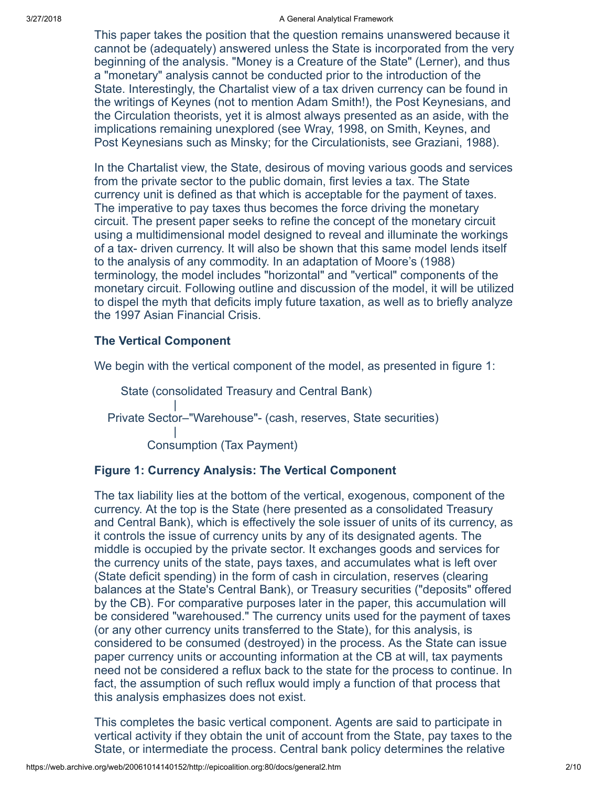This paper takes the position that the question remains unanswered because it cannot be (adequately) answered unless the State is incorporated from the very beginning of the analysis. "Money is a Creature of the State" (Lerner), and thus a "monetary" analysis cannot be conducted prior to the introduction of the State. Interestingly, the Chartalist view of a tax driven currency can be found in the writings of Keynes (not to mention Adam Smith!), the Post Keynesians, and the Circulation theorists, yet it is almost always presented as an aside, with the implications remaining unexplored (see Wray, 1998, on Smith, Keynes, and Post Keynesians such as Minsky; for the Circulationists, see Graziani, 1988).

In the Chartalist view, the State, desirous of moving various goods and services from the private sector to the public domain, first levies a tax. The State currency unit is defined as that which is acceptable for the payment of taxes. The imperative to pay taxes thus becomes the force driving the monetary circuit. The present paper seeks to refine the concept of the monetary circuit using a multidimensional model designed to reveal and illuminate the workings of a tax- driven currency. It will also be shown that this same model lends itself to the analysis of any commodity. In an adaptation of Moore's (1988) terminology, the model includes "horizontal" and "vertical" components of the monetary circuit. Following outline and discussion of the model, it will be utilized to dispel the myth that deficits imply future taxation, as well as to briefly analyze the 1997 Asian Financial Crisis.

# The Vertical Component

We begin with the vertical component of the model, as presented in figure 1:

 State (consolidated Treasury and Central Bank) | Private Sector–"Warehouse"- (cash, reserves, State securities) | Consumption (Tax Payment)

# Figure 1: Currency Analysis: The Vertical Component

The tax liability lies at the bottom of the vertical, exogenous, component of the currency. At the top is the State (here presented as a consolidated Treasury and Central Bank), which is effectively the sole issuer of units of its currency, as it controls the issue of currency units by any of its designated agents. The middle is occupied by the private sector. It exchanges goods and services for the currency units of the state, pays taxes, and accumulates what is left over (State deficit spending) in the form of cash in circulation, reserves (clearing balances at the State's Central Bank), or Treasury securities ("deposits" offered by the CB). For comparative purposes later in the paper, this accumulation will be considered "warehoused." The currency units used for the payment of taxes (or any other currency units transferred to the State), for this analysis, is considered to be consumed (destroyed) in the process. As the State can issue paper currency units or accounting information at the CB at will, tax payments need not be considered a reflux back to the state for the process to continue. In fact, the assumption of such reflux would imply a function of that process that this analysis emphasizes does not exist.

This completes the basic vertical component. Agents are said to participate in vertical activity if they obtain the unit of account from the State, pay taxes to the State, or intermediate the process. Central bank policy determines the relative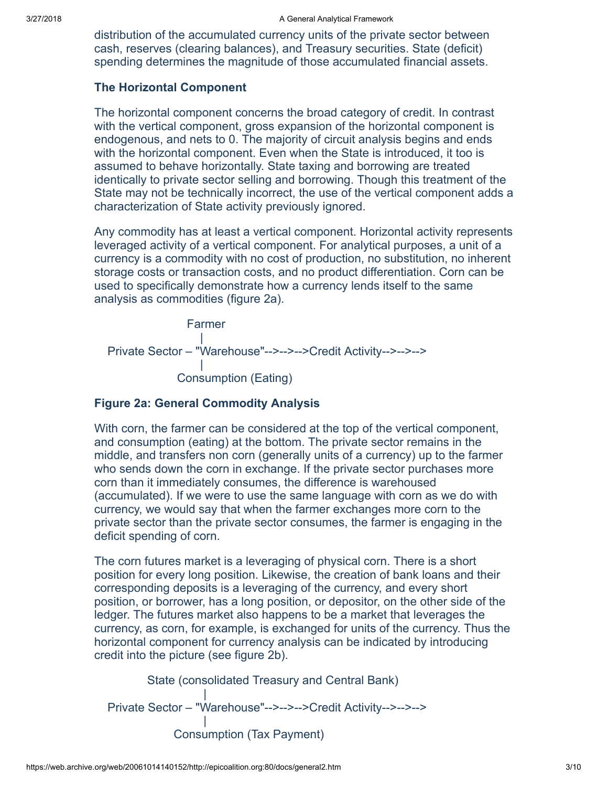distribution of the accumulated currency units of the private sector between cash, reserves (clearing balances), and Treasury securities. State (deficit) spending determines the magnitude of those accumulated financial assets.

#### The Horizontal Component

The horizontal component concerns the broad category of credit. In contrast with the vertical component, gross expansion of the horizontal component is endogenous, and nets to 0. The majority of circuit analysis begins and ends with the horizontal component. Even when the State is introduced, it too is assumed to behave horizontally. State taxing and borrowing are treated identically to private sector selling and borrowing. Though this treatment of the State may not be technically incorrect, the use of the vertical component adds a characterization of State activity previously ignored.

Any commodity has at least a vertical component. Horizontal activity represents leveraged activity of a vertical component. For analytical purposes, a unit of a currency is a commodity with no cost of production, no substitution, no inherent storage costs or transaction costs, and no product differentiation. Corn can be used to specifically demonstrate how a currency lends itself to the same analysis as commodities (figure 2a).

 Farmer | Private Sector – "Warehouse"-->-->-->Credit Activity-->-->--> | Consumption (Eating)

# Figure 2a: General Commodity Analysis

With corn, the farmer can be considered at the top of the vertical component, and consumption (eating) at the bottom. The private sector remains in the middle, and transfers non corn (generally units of a currency) up to the farmer who sends down the corn in exchange. If the private sector purchases more corn than it immediately consumes, the difference is warehoused (accumulated). If we were to use the same language with corn as we do with currency, we would say that when the farmer exchanges more corn to the private sector than the private sector consumes, the farmer is engaging in the deficit spending of corn.

The corn futures market is a leveraging of physical corn. There is a short position for every long position. Likewise, the creation of bank loans and their corresponding deposits is a leveraging of the currency, and every short position, or borrower, has a long position, or depositor, on the other side of the ledger. The futures market also happens to be a market that leverages the currency, as corn, for example, is exchanged for units of the currency. Thus the horizontal component for currency analysis can be indicated by introducing credit into the picture (see figure 2b).

 State (consolidated Treasury and Central Bank) | Private Sector – "Warehouse"-->-->-->Credit Activity-->-->--> | Consumption (Tax Payment)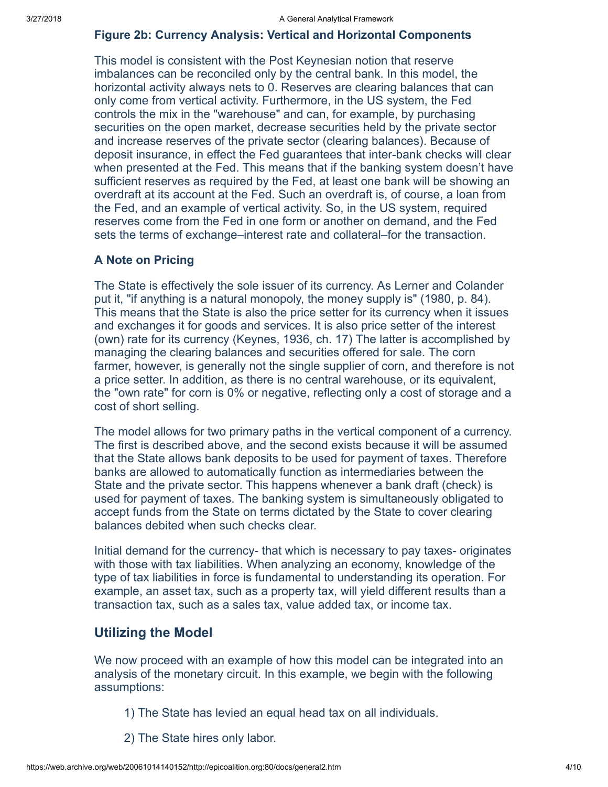#### Figure 2b: Currency Analysis: Vertical and Horizontal Components

This model is consistent with the Post Keynesian notion that reserve imbalances can be reconciled only by the central bank. In this model, the horizontal activity always nets to 0. Reserves are clearing balances that can only come from vertical activity. Furthermore, in the US system, the Fed controls the mix in the "warehouse" and can, for example, by purchasing securities on the open market, decrease securities held by the private sector and increase reserves of the private sector (clearing balances). Because of deposit insurance, in effect the Fed guarantees that inter-bank checks will clear when presented at the Fed. This means that if the banking system doesn't have sufficient reserves as required by the Fed, at least one bank will be showing an overdraft at its account at the Fed. Such an overdraft is, of course, a loan from the Fed, and an example of vertical activity. So, in the US system, required reserves come from the Fed in one form or another on demand, and the Fed sets the terms of exchange–interest rate and collateral–for the transaction.

#### A Note on Pricing

The State is effectively the sole issuer of its currency. As Lerner and Colander put it, "if anything is a natural monopoly, the money supply is" (1980, p. 84). This means that the State is also the price setter for its currency when it issues and exchanges it for goods and services. It is also price setter of the interest (own) rate for its currency (Keynes, 1936, ch. 17) The latter is accomplished by managing the clearing balances and securities offered for sale. The corn farmer, however, is generally not the single supplier of corn, and therefore is not a price setter. In addition, as there is no central warehouse, or its equivalent, the "own rate" for corn is 0% or negative, reflecting only a cost of storage and a cost of short selling.

The model allows for two primary paths in the vertical component of a currency. The first is described above, and the second exists because it will be assumed that the State allows bank deposits to be used for payment of taxes. Therefore banks are allowed to automatically function as intermediaries between the State and the private sector. This happens whenever a bank draft (check) is used for payment of taxes. The banking system is simultaneously obligated to accept funds from the State on terms dictated by the State to cover clearing balances debited when such checks clear.

Initial demand for the currency- that which is necessary to pay taxes- originates with those with tax liabilities. When analyzing an economy, knowledge of the type of tax liabilities in force is fundamental to understanding its operation. For example, an asset tax, such as a property tax, will yield different results than a transaction tax, such as a sales tax, value added tax, or income tax.

# Utilizing the Model

We now proceed with an example of how this model can be integrated into an analysis of the monetary circuit. In this example, we begin with the following assumptions:

- 1) The State has levied an equal head tax on all individuals.
- 2) The State hires only labor.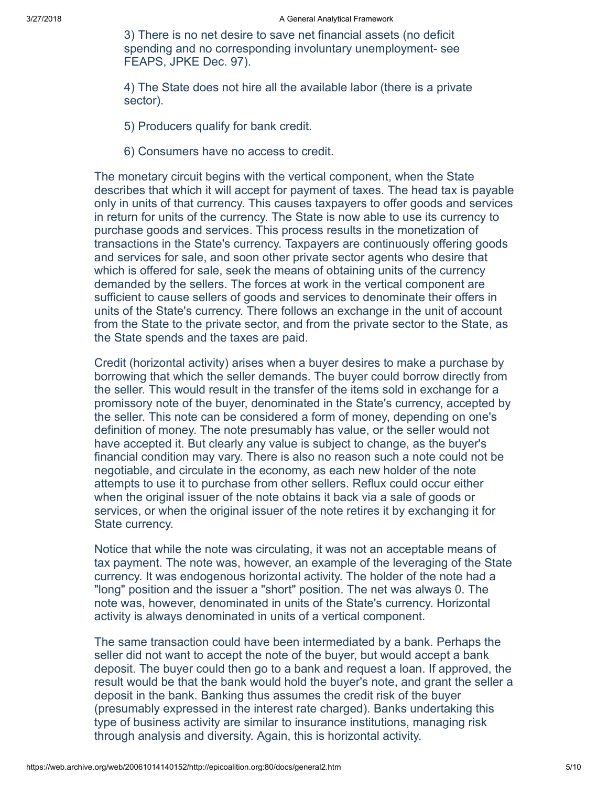3) There is no net desire to save net financial assets (no deficit spending and no corresponding involuntary unemployment- see FEAPS, JPKE Dec. 97).

4) The State does not hire all the available labor (there is a private sector).

- 5) Producers qualify for bank credit.
- 6) Consumers have no access to credit.

The monetary circuit begins with the vertical component, when the State describes that which it will accept for payment of taxes. The head tax is payable only in units of that currency. This causes taxpayers to offer goods and services in return for units of the currency. The State is now able to use its currency to purchase goods and services. This process results in the monetization of transactions in the State's currency. Taxpayers are continuously offering goods and services for sale, and soon other private sector agents who desire that which is offered for sale, seek the means of obtaining units of the currency demanded by the sellers. The forces at work in the vertical component are sufficient to cause sellers of goods and services to denominate their offers in units of the State's currency. There follows an exchange in the unit of account from the State to the private sector, and from the private sector to the State, as the State spends and the taxes are paid.

Credit (horizontal activity) arises when a buyer desires to make a purchase by borrowing that which the seller demands. The buyer could borrow directly from the seller. This would result in the transfer of the items sold in exchange for a promissory note of the buyer, denominated in the State's currency, accepted by the seller. This note can be considered a form of money, depending on one's definition of money. The note presumably has value, or the seller would not have accepted it. But clearly any value is subject to change, as the buyer's financial condition may vary. There is also no reason such a note could not be negotiable, and circulate in the economy, as each new holder of the note attempts to use it to purchase from other sellers. Reflux could occur either when the original issuer of the note obtains it back via a sale of goods or services, or when the original issuer of the note retires it by exchanging it for State currency.

Notice that while the note was circulating, it was not an acceptable means of tax payment. The note was, however, an example of the leveraging of the State currency. It was endogenous horizontal activity. The holder of the note had a "long" position and the issuer a "short" position. The net was always 0. The note was, however, denominated in units of the State's currency. Horizontal activity is always denominated in units of a vertical component.

The same transaction could have been intermediated by a bank. Perhaps the seller did not want to accept the note of the buyer, but would accept a bank deposit. The buyer could then go to a bank and request a loan. If approved, the result would be that the bank would hold the buyer's note, and grant the seller a deposit in the bank. Banking thus assumes the credit risk of the buyer (presumably expressed in the interest rate charged). Banks undertaking this type of business activity are similar to insurance institutions, managing risk through analysis and diversity. Again, this is horizontal activity.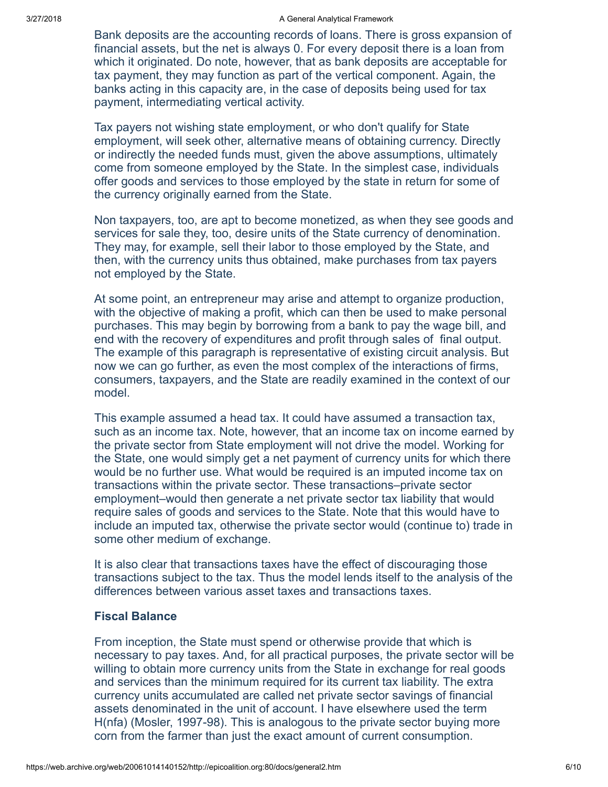Bank deposits are the accounting records of loans. There is gross expansion of financial assets, but the net is always 0. For every deposit there is a loan from which it originated. Do note, however, that as bank deposits are acceptable for tax payment, they may function as part of the vertical component. Again, the banks acting in this capacity are, in the case of deposits being used for tax payment, intermediating vertical activity.

Tax payers not wishing state employment, or who don't qualify for State employment, will seek other, alternative means of obtaining currency. Directly or indirectly the needed funds must, given the above assumptions, ultimately come from someone employed by the State. In the simplest case, individuals offer goods and services to those employed by the state in return for some of the currency originally earned from the State.

Non taxpayers, too, are apt to become monetized, as when they see goods and services for sale they, too, desire units of the State currency of denomination. They may, for example, sell their labor to those employed by the State, and then, with the currency units thus obtained, make purchases from tax payers not employed by the State.

At some point, an entrepreneur may arise and attempt to organize production, with the objective of making a profit, which can then be used to make personal purchases. This may begin by borrowing from a bank to pay the wage bill, and end with the recovery of expenditures and profit through sales of final output. The example of this paragraph is representative of existing circuit analysis. But now we can go further, as even the most complex of the interactions of firms, consumers, taxpayers, and the State are readily examined in the context of our model.

This example assumed a head tax. It could have assumed a transaction tax, such as an income tax. Note, however, that an income tax on income earned by the private sector from State employment will not drive the model. Working for the State, one would simply get a net payment of currency units for which there would be no further use. What would be required is an imputed income tax on transactions within the private sector. These transactions–private sector employment–would then generate a net private sector tax liability that would require sales of goods and services to the State. Note that this would have to include an imputed tax, otherwise the private sector would (continue to) trade in some other medium of exchange.

It is also clear that transactions taxes have the effect of discouraging those transactions subject to the tax. Thus the model lends itself to the analysis of the differences between various asset taxes and transactions taxes.

# Fiscal Balance

From inception, the State must spend or otherwise provide that which is necessary to pay taxes. And, for all practical purposes, the private sector will be willing to obtain more currency units from the State in exchange for real goods and services than the minimum required for its current tax liability. The extra currency units accumulated are called net private sector savings of financial assets denominated in the unit of account. I have elsewhere used the term H(nfa) (Mosler, 1997-98). This is analogous to the private sector buying more corn from the farmer than just the exact amount of current consumption.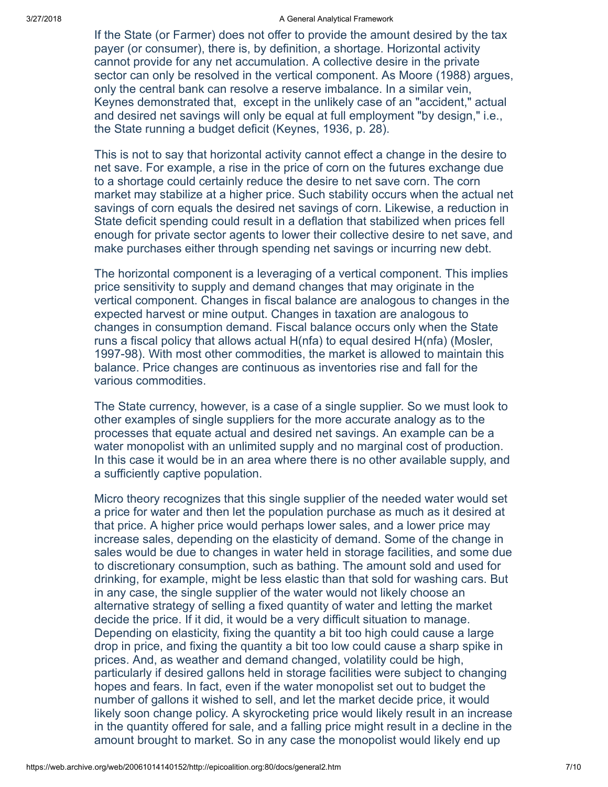#### 3/27/2018 A General Analytical Framework

If the State (or Farmer) does not offer to provide the amount desired by the tax payer (or consumer), there is, by definition, a shortage. Horizontal activity cannot provide for any net accumulation. A collective desire in the private sector can only be resolved in the vertical component. As Moore (1988) argues, only the central bank can resolve a reserve imbalance. In a similar vein, Keynes demonstrated that, except in the unlikely case of an "accident," actual and desired net savings will only be equal at full employment "by design," i.e., the State running a budget deficit (Keynes, 1936, p. 28).

This is not to say that horizontal activity cannot effect a change in the desire to net save. For example, a rise in the price of corn on the futures exchange due to a shortage could certainly reduce the desire to net save corn. The corn market may stabilize at a higher price. Such stability occurs when the actual net savings of corn equals the desired net savings of corn. Likewise, a reduction in State deficit spending could result in a deflation that stabilized when prices fell enough for private sector agents to lower their collective desire to net save, and make purchases either through spending net savings or incurring new debt.

The horizontal component is a leveraging of a vertical component. This implies price sensitivity to supply and demand changes that may originate in the vertical component. Changes in fiscal balance are analogous to changes in the expected harvest or mine output. Changes in taxation are analogous to changes in consumption demand. Fiscal balance occurs only when the State runs a fiscal policy that allows actual H(nfa) to equal desired H(nfa) (Mosler, 1997-98). With most other commodities, the market is allowed to maintain this balance. Price changes are continuous as inventories rise and fall for the various commodities.

The State currency, however, is a case of a single supplier. So we must look to other examples of single suppliers for the more accurate analogy as to the processes that equate actual and desired net savings. An example can be a water monopolist with an unlimited supply and no marginal cost of production. In this case it would be in an area where there is no other available supply, and a sufficiently captive population.

Micro theory recognizes that this single supplier of the needed water would set a price for water and then let the population purchase as much as it desired at that price. A higher price would perhaps lower sales, and a lower price may increase sales, depending on the elasticity of demand. Some of the change in sales would be due to changes in water held in storage facilities, and some due to discretionary consumption, such as bathing. The amount sold and used for drinking, for example, might be less elastic than that sold for washing cars. But in any case, the single supplier of the water would not likely choose an alternative strategy of selling a fixed quantity of water and letting the market decide the price. If it did, it would be a very difficult situation to manage. Depending on elasticity, fixing the quantity a bit too high could cause a large drop in price, and fixing the quantity a bit too low could cause a sharp spike in prices. And, as weather and demand changed, volatility could be high, particularly if desired gallons held in storage facilities were subject to changing hopes and fears. In fact, even if the water monopolist set out to budget the number of gallons it wished to sell, and let the market decide price, it would likely soon change policy. A skyrocketing price would likely result in an increase in the quantity offered for sale, and a falling price might result in a decline in the amount brought to market. So in any case the monopolist would likely end up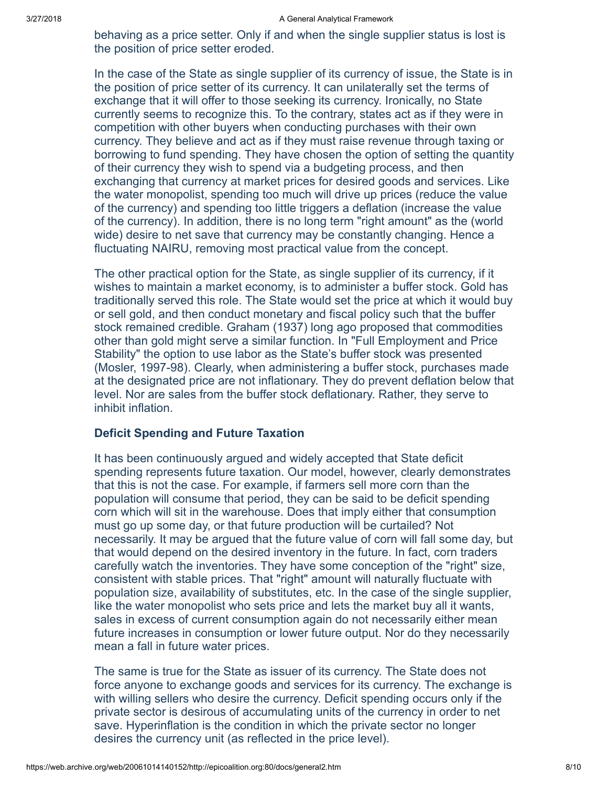behaving as a price setter. Only if and when the single supplier status is lost is the position of price setter eroded.

In the case of the State as single supplier of its currency of issue, the State is in the position of price setter of its currency. It can unilaterally set the terms of exchange that it will offer to those seeking its currency. Ironically, no State currently seems to recognize this. To the contrary, states act as if they were in competition with other buyers when conducting purchases with their own currency. They believe and act as if they must raise revenue through taxing or borrowing to fund spending. They have chosen the option of setting the quantity of their currency they wish to spend via a budgeting process, and then exchanging that currency at market prices for desired goods and services. Like the water monopolist, spending too much will drive up prices (reduce the value of the currency) and spending too little triggers a deflation (increase the value of the currency). In addition, there is no long term "right amount" as the (world wide) desire to net save that currency may be constantly changing. Hence a fluctuating NAIRU, removing most practical value from the concept.

The other practical option for the State, as single supplier of its currency, if it wishes to maintain a market economy, is to administer a buffer stock. Gold has traditionally served this role. The State would set the price at which it would buy or sell gold, and then conduct monetary and fiscal policy such that the buffer stock remained credible. Graham (1937) long ago proposed that commodities other than gold might serve a similar function. In "Full Employment and Price Stability" the option to use labor as the State's buffer stock was presented (Mosler, 1997-98). Clearly, when administering a buffer stock, purchases made at the designated price are not inflationary. They do prevent deflation below that level. Nor are sales from the buffer stock deflationary. Rather, they serve to inhibit inflation.

# Deficit Spending and Future Taxation

It has been continuously argued and widely accepted that State deficit spending represents future taxation. Our model, however, clearly demonstrates that this is not the case. For example, if farmers sell more corn than the population will consume that period, they can be said to be deficit spending corn which will sit in the warehouse. Does that imply either that consumption must go up some day, or that future production will be curtailed? Not necessarily. It may be argued that the future value of corn will fall some day, but that would depend on the desired inventory in the future. In fact, corn traders carefully watch the inventories. They have some conception of the "right" size, consistent with stable prices. That "right" amount will naturally fluctuate with population size, availability of substitutes, etc. In the case of the single supplier, like the water monopolist who sets price and lets the market buy all it wants, sales in excess of current consumption again do not necessarily either mean future increases in consumption or lower future output. Nor do they necessarily mean a fall in future water prices.

The same is true for the State as issuer of its currency. The State does not force anyone to exchange goods and services for its currency. The exchange is with willing sellers who desire the currency. Deficit spending occurs only if the private sector is desirous of accumulating units of the currency in order to net save. Hyperinflation is the condition in which the private sector no longer desires the currency unit (as reflected in the price level).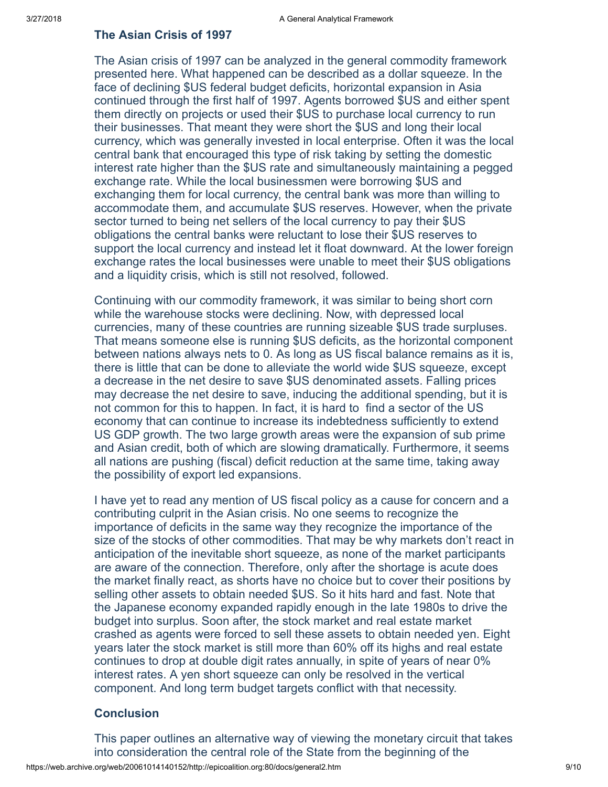# The Asian Crisis of 1997

The Asian crisis of 1997 can be analyzed in the general commodity framework presented here. What happened can be described as a dollar squeeze. In the face of declining \$US federal budget deficits, horizontal expansion in Asia continued through the first half of 1997. Agents borrowed \$US and either spent them directly on projects or used their \$US to purchase local currency to run their businesses. That meant they were short the \$US and long their local currency, which was generally invested in local enterprise. Often it was the local central bank that encouraged this type of risk taking by setting the domestic interest rate higher than the \$US rate and simultaneously maintaining a pegged exchange rate. While the local businessmen were borrowing \$US and exchanging them for local currency, the central bank was more than willing to accommodate them, and accumulate \$US reserves. However, when the private sector turned to being net sellers of the local currency to pay their \$US obligations the central banks were reluctant to lose their \$US reserves to support the local currency and instead let it float downward. At the lower foreign exchange rates the local businesses were unable to meet their \$US obligations and a liquidity crisis, which is still not resolved, followed.

Continuing with our commodity framework, it was similar to being short corn while the warehouse stocks were declining. Now, with depressed local currencies, many of these countries are running sizeable \$US trade surpluses. That means someone else is running \$US deficits, as the horizontal component between nations always nets to 0. As long as US fiscal balance remains as it is, there is little that can be done to alleviate the world wide \$US squeeze, except a decrease in the net desire to save \$US denominated assets. Falling prices may decrease the net desire to save, inducing the additional spending, but it is not common for this to happen. In fact, it is hard to find a sector of the US economy that can continue to increase its indebtedness sufficiently to extend US GDP growth. The two large growth areas were the expansion of sub prime and Asian credit, both of which are slowing dramatically. Furthermore, it seems all nations are pushing (fiscal) deficit reduction at the same time, taking away the possibility of export led expansions.

I have yet to read any mention of US fiscal policy as a cause for concern and a contributing culprit in the Asian crisis. No one seems to recognize the importance of deficits in the same way they recognize the importance of the size of the stocks of other commodities. That may be why markets don't react in anticipation of the inevitable short squeeze, as none of the market participants are aware of the connection. Therefore, only after the shortage is acute does the market finally react, as shorts have no choice but to cover their positions by selling other assets to obtain needed \$US. So it hits hard and fast. Note that the Japanese economy expanded rapidly enough in the late 1980s to drive the budget into surplus. Soon after, the stock market and real estate market crashed as agents were forced to sell these assets to obtain needed yen. Eight years later the stock market is still more than 60% off its highs and real estate continues to drop at double digit rates annually, in spite of years of near 0% interest rates. A yen short squeeze can only be resolved in the vertical component. And long term budget targets conflict with that necessity.

# **Conclusion**

This paper outlines an alternative way of viewing the monetary circuit that takes into consideration the central role of the State from the beginning of the